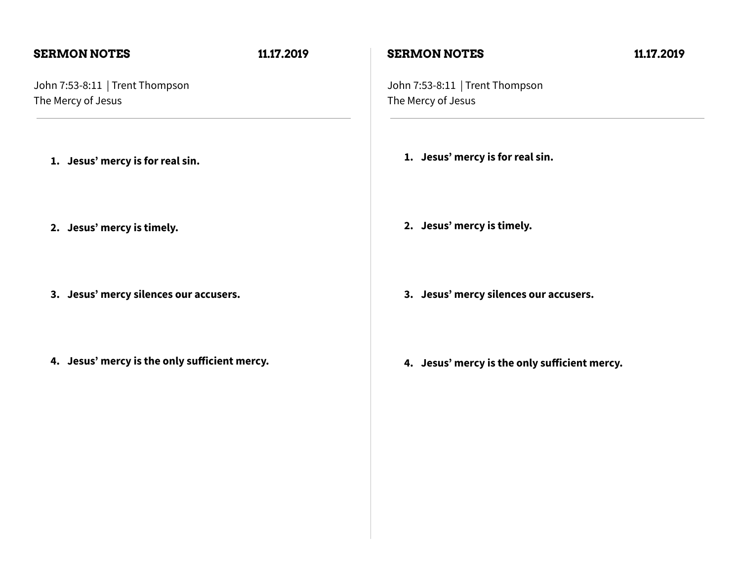### **SERMON NOTES 11.17.2019**

John 7:53-8:11 | Trent Thompson The Mercy of Jesus

- **1. Jesus' mercy is for real sin.**
- **2. Jesus' mercy is timely.**
- **3. Jesus' mercy silences our accusers.**
- **4. Jesus' mercy is the only sufficient mercy.**

### **SERMON NOTES 11.17.2019**

John 7:53-8:11 | Trent Thompson The Mercy of Jesus

- **1. Jesus' mercy is for real sin.**
- **2. Jesus' mercy is timely.**
- **3. Jesus' mercy silences our accusers.**
- **4. Jesus' mercy is the only sufficient mercy.**